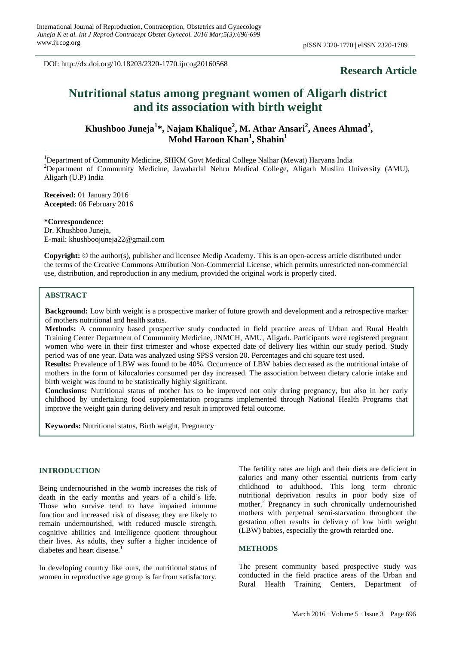DOI: http://dx.doi.org/10.18203/2320-1770.ijrcog20160568

# **Research Article**

# **Nutritional status among pregnant women of Aligarh district and its association with birth weight**

**Khushboo Juneja<sup>1</sup> \*, Najam Khalique<sup>2</sup> , M. Athar Ansari<sup>2</sup> , Anees Ahmad<sup>2</sup> , Mohd Haroon Khan<sup>1</sup> , Shahin<sup>1</sup>**

<sup>1</sup>Department of Community Medicine, SHKM Govt Medical College Nalhar (Mewat) Haryana India <sup>2</sup>Department of Community Medicine, Jawaharlal Nehru Medical College, Aligarh Muslim University (AMU), Aligarh (U.P) India

**Received:** 01 January 2016 **Accepted:** 06 February 2016

**\*Correspondence:** Dr. Khushboo Juneja, E-mail: khushboojuneja22@gmail.com

**Copyright:** © the author(s), publisher and licensee Medip Academy. This is an open-access article distributed under the terms of the Creative Commons Attribution Non-Commercial License, which permits unrestricted non-commercial use, distribution, and reproduction in any medium, provided the original work is properly cited.

#### **ABSTRACT**

**Background:** Low birth weight is a prospective marker of future growth and development and a retrospective marker of mothers nutritional and health status.

**Methods:** A community based prospective study conducted in field practice areas of Urban and Rural Health Training Center Department of Community Medicine, JNMCH, AMU, Aligarh. Participants were registered pregnant women who were in their first trimester and whose expected date of delivery lies within our study period. Study period was of one year. Data was analyzed using SPSS version 20. Percentages and chi square test used.

**Results:** Prevalence of LBW was found to be 40%. Occurrence of LBW babies decreased as the nutritional intake of mothers in the form of kilocalories consumed per day increased. The association between dietary calorie intake and birth weight was found to be statistically highly significant.

**Conclusions:** Nutritional status of mother has to be improved not only during pregnancy, but also in her early childhood by undertaking food supplementation programs implemented through National Health Programs that improve the weight gain during delivery and result in improved fetal outcome.

**Keywords:** Nutritional status, Birth weight, Pregnancy

#### **INTRODUCTION**

Being undernourished in the womb increases the risk of death in the early months and years of a child's life. Those who survive tend to have impaired immune function and increased risk of disease; they are likely to remain undernourished, with reduced muscle strength, cognitive abilities and intelligence quotient throughout their lives. As adults, they suffer a higher incidence of diabetes and heart disease.<sup>1</sup>

In developing country like ours, the nutritional status of women in reproductive age group is far from satisfactory.

The fertility rates are high and their diets are deficient in calories and many other essential nutrients from early childhood to adulthood. This long term chronic nutritional deprivation results in poor body size of mother.<sup>2</sup> Pregnancy in such chronically undernourished mothers with perpetual semi-starvation throughout the gestation often results in delivery of low birth weight (LBW) babies, especially the growth retarded one.

#### **METHODS**

The present community based prospective study was conducted in the field practice areas of the Urban and Rural Health Training Centers, Department of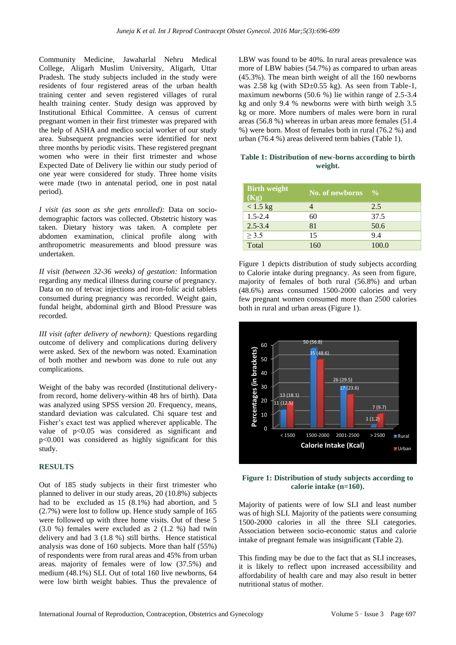Community Medicine, Jawaharlal Nehru Medical College, Aligarh Muslim University, Aligarh, Uttar Pradesh. The study subjects included in the study were residents of four registered areas of the urban health training center and seven registered villages of rural health training center. Study design was approved by Institutional Ethical Committee. A census of current pregnant women in their first trimester was prepared with the help of ASHA and medico social worker of our study area. Subsequent pregnancies were identified for next three months by periodic visits. These registered pregnant women who were in their first trimester and whose Expected Date of Delivery lie within our study period of one year were considered for study. Three home visits were made (two in antenatal period, one in post natal period).

*I visit (as soon as she gets enrolled):* Data on sociodemographic factors was collected. Obstetric history was taken. Dietary history was taken. A complete per abdomen examination, clinical profile along with anthropometric measurements and blood pressure was undertaken.

*II visit (between 32-36 weeks) of gestation:* Information regarding any medical illness during course of pregnancy. Data on no of tetvac injections and iron-folic acid tablets consumed during pregnancy was recorded. Weight gain, fundal height, abdominal girth and Blood Pressure was recorded.

*III visit (after delivery of newborn):* Questions regarding outcome of delivery and complications during delivery were asked. Sex of the newborn was noted. Examination of both mother and newborn was done to rule out any complications.

Weight of the baby was recorded (Institutional deliveryfrom record, home delivery-within 48 hrs of birth). Data was analyzed using SPSS version 20. Frequency, means, standard deviation was calculated. Chi square test and Fisher's exact test was applied wherever applicable. The value of p<0.05 was considered as significant and p<0.001 was considered as highly significant for this study.

# **RESULTS**

Out of 185 study subjects in their first trimester who planned to deliver in our study areas, 20 (10.8%) subjects had to be excluded as 15 (8.1%) had abortion, and 5 (2.7%) were lost to follow up. Hence study sample of 165 were followed up with three home visits. Out of these 5 (3.0 %) females were excluded as 2 (1.2 %) had twin delivery and had 3 (1.8 %) still births. Hence statistical analysis was done of 160 subjects. More than half (55%) of respondents were from rural areas and 45% from urban areas. majority of females were of low (37.5%) and medium (48.1%) SLI. Out of total 160 live newborns, 64 were low birth weight babies. Thus the prevalence of LBW was found to be 40%. In rural areas prevalence was more of LBW babies (54.7%) as compared to urban areas (45.3%). The mean birth weight of all the 160 newborns was  $2.58 \text{ kg}$  (with SD $\pm$ 0.55 kg). As seen from Table-1, maximum newborns (50.6 %) lie within range of 2.5-3.4 kg and only 9.4 % newborns were with birth weigh 3.5 kg or more. More numbers of males were born in rural areas (56.8 %) whereas in urban areas more females (51.4 %) were born. Most of females both in rural (76.2 %) and urban (76.4 %) areas delivered term babies (Table 1).

#### **Table 1: Distribution of new-borns according to birth weight.**

| <b>Birth weight</b><br>(Kg) | No. of newborns | $\frac{6}{9}$ |
|-----------------------------|-----------------|---------------|
| $< 1.5$ kg                  |                 | 2.5           |
| $1.5 - 2.4$                 | 60              | 37.5          |
| $2.5 - 3.4$                 | 81              | 50.6          |
| > 3.5                       | 15              | 9.4           |
| Total                       | 160             | 100.0         |

Figure 1 depicts distribution of study subjects according to Calorie intake during pregnancy. As seen from figure, majority of females of both rural (56.8%) and urban (48.6%) areas consumed 1500-2000 calories and very few pregnant women consumed more than 2500 calories both in rural and urban areas (Figure 1).



# **Figure 1: Distribution of study subjects according to calorie intake (n=160).**

Majority of patients were of low SLI and least number was of high SLI. Majority of the patients were consuming 1500-2000 calories in all the three SLI categories. Association between socio-economic status and calorie intake of pregnant female was insignificant (Table 2).

This finding may be due to the fact that as SLI increases, it is likely to reflect upon increased accessibility and affordability of health care and may also result in better nutritional status of mother.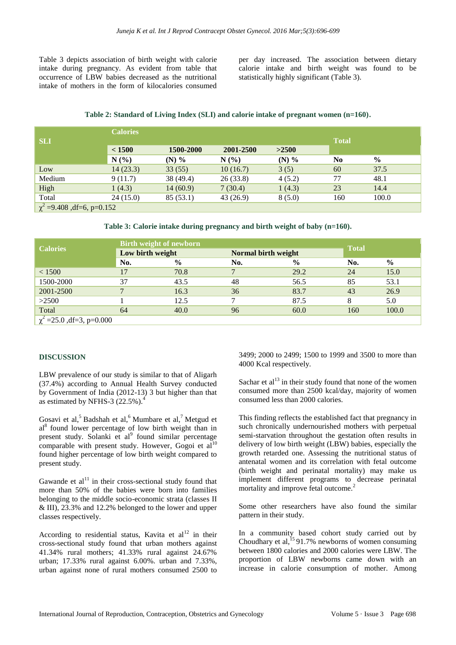Table 3 depicts association of birth weight with calorie intake during pregnancy. As evident from table that occurrence of LBW babies decreased as the nutritional intake of mothers in the form of kilocalories consumed

per day increased. The association between dietary calorie intake and birth weight was found to be statistically highly significant (Table 3).

### **Table 2: Standard of Living Index (SLI) and calorie intake of pregnant women (n=160).**

|                                 | <b>Calories</b> |              |          |         |                |               |  |  |
|---------------------------------|-----------------|--------------|----------|---------|----------------|---------------|--|--|
| <b>SLI</b>                      |                 | <b>Total</b> |          |         |                |               |  |  |
|                                 | < 1500          |              |          |         |                |               |  |  |
|                                 | N(%             | (N) $%$      | N(%      | (N) $%$ | N <sub>0</sub> | $\frac{6}{9}$ |  |  |
| Low                             | 14(23.3)        | 33(55)       | 10(16.7) | 3(5)    | 60             | 37.5          |  |  |
| Medium                          | 9(11.7)         | 38 (49.4)    | 26(33.8) | 4(5.2)  | 77             | 48.1          |  |  |
| High                            | 1(4.3)          | 14(60.9)     | 7(30.4)  | 1(4.3)  | 23             | 14.4          |  |  |
| Total                           | 24(15.0)        | 85(53.1)     | 43(26.9) | 8(5.0)  | 160            | 100.0         |  |  |
| $\chi^2$ =9.408 , df=6, p=0.152 |                 |              |          |         |                |               |  |  |

**Table 3: Calorie intake during pregnancy and birth weight of baby (n=160).**

| <b>Calories</b>               | <b>Birth weight of newborn</b> |               |                     |               |              |               |  |  |
|-------------------------------|--------------------------------|---------------|---------------------|---------------|--------------|---------------|--|--|
|                               | Low birth weight               |               | Normal birth weight |               | <b>Total</b> |               |  |  |
|                               | No.                            | $\frac{0}{0}$ | No.                 | $\frac{0}{0}$ | No.          | $\frac{0}{0}$ |  |  |
| < 1500                        | 17                             | 70.8          | $\mathcal{L}$       | 29.2          | 24           | 15.0          |  |  |
| 1500-2000                     | 37                             | 43.5          | 48                  | 56.5          | 85           | 53.1          |  |  |
| 2001-2500                     |                                | 16.3          | 36                  | 83.7          | 43           | 26.9          |  |  |
| >2500                         |                                | 12.5          |                     | 87.5          |              | 5.0           |  |  |
| Total                         | 64                             | 40.0          | 96                  | 60.0          | 160          | 100.0         |  |  |
| $\chi^2$ =25.0, df=3, p=0.000 |                                |               |                     |               |              |               |  |  |

#### **DISCUSSION**

LBW prevalence of our study is similar to that of Aligarh (37.4%) according to Annual Health Survey conducted by Government of India (2012-13) 3 but higher than that as estimated by NFHS-3  $(22.5\%)$ .

Gosavi et al,<sup>5</sup> Badshah et al,<sup>6</sup> Mumbare et al,<sup>7</sup> Metgud et al<sup>8</sup> found lower percentage of low birth weight than in present study. Solanki et al<sup>9</sup> found similar percentage comparable with present study. However, Gogoi et  $al<sup>10</sup>$ found higher percentage of low birth weight compared to present study.

Gawande et  $al<sup>11</sup>$  in their cross-sectional study found that more than 50% of the babies were born into families belonging to the middle socio-economic strata (classes II & III), 23.3% and 12.2% belonged to the lower and upper classes respectively.

According to residential status, Kavita et  $al<sup>12</sup>$  in their cross-sectional study found that urban mothers against 41.34% rural mothers; 41.33% rural against 24.67% urban; 17.33% rural against 6.00%. urban and 7.33%, urban against none of rural mothers consumed 2500 to

3499; 2000 to 2499; 1500 to 1999 and 3500 to more than 4000 Kcal respectively.

Sachar et  $al<sup>13</sup>$  in their study found that none of the women consumed more than 2500 kcal/day, majority of women consumed less than 2000 calories.

This finding reflects the established fact that pregnancy in such chronically undernourished mothers with perpetual semi-starvation throughout the gestation often results in delivery of low birth weight (LBW) babies, especially the growth retarded one. Assessing the nutritional status of antenatal women and its correlation with fetal outcome (birth weight and perinatal mortality) may make us implement different programs to decrease perinatal mortality and improve fetal outcome.<sup>2</sup>

Some other researchers have also found the similar pattern in their study.

In a community based cohort study carried out by Choudhary et al,  $^{15}$ 91.7% newborns of women consuming between 1800 calories and 2000 calories were LBW. The proportion of LBW newborns came down with an increase in calorie consumption of mother. Among